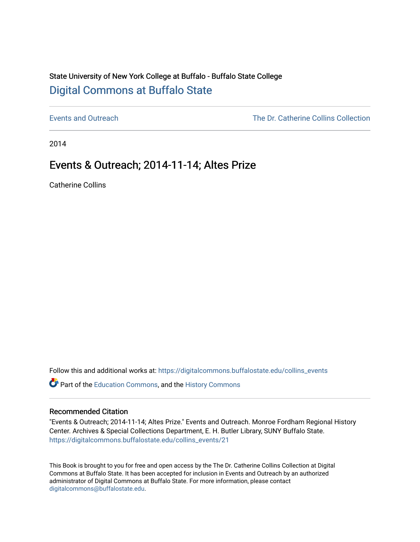## State University of New York College at Buffalo - Buffalo State College [Digital Commons at Buffalo State](https://digitalcommons.buffalostate.edu/)

[Events and Outreach](https://digitalcommons.buffalostate.edu/collins_events) [The Dr. Catherine Collins Collection](https://digitalcommons.buffalostate.edu/collins_collection) 

2014

## Events & Outreach; 2014-11-14; Altes Prize

Catherine Collins

Follow this and additional works at: [https://digitalcommons.buffalostate.edu/collins\\_events](https://digitalcommons.buffalostate.edu/collins_events?utm_source=digitalcommons.buffalostate.edu%2Fcollins_events%2F21&utm_medium=PDF&utm_campaign=PDFCoverPages) 

Part of the [Education Commons](http://network.bepress.com/hgg/discipline/784?utm_source=digitalcommons.buffalostate.edu%2Fcollins_events%2F21&utm_medium=PDF&utm_campaign=PDFCoverPages), and the [History Commons](http://network.bepress.com/hgg/discipline/489?utm_source=digitalcommons.buffalostate.edu%2Fcollins_events%2F21&utm_medium=PDF&utm_campaign=PDFCoverPages) 

#### Recommended Citation

"Events & Outreach; 2014-11-14; Altes Prize." Events and Outreach. Monroe Fordham Regional History Center. Archives & Special Collections Department, E. H. Butler Library, SUNY Buffalo State. [https://digitalcommons.buffalostate.edu/collins\\_events/21](https://digitalcommons.buffalostate.edu/collins_events/21?utm_source=digitalcommons.buffalostate.edu%2Fcollins_events%2F21&utm_medium=PDF&utm_campaign=PDFCoverPages)

This Book is brought to you for free and open access by the The Dr. Catherine Collins Collection at Digital Commons at Buffalo State. It has been accepted for inclusion in Events and Outreach by an authorized administrator of Digital Commons at Buffalo State. For more information, please contact [digitalcommons@buffalostate.edu.](mailto:digitalcommons@buffalostate.edu)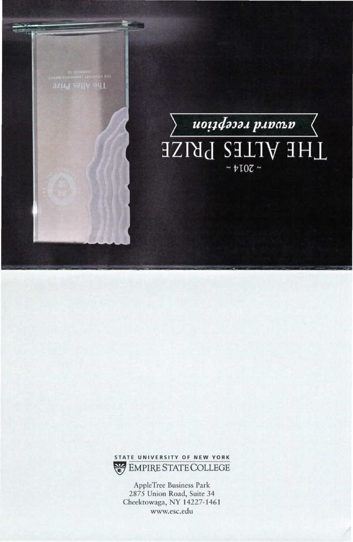





Ap pleTree Business Park 2875 Union Road, Suite 34 Cheektowaga, NY 14227-1461 www.esc.edu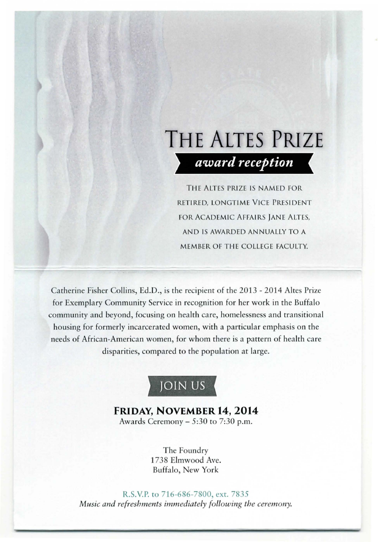# **THE ALTES PRIZE**  *award reception*

THE ALTES PRIZE IS NAMED FOR RETIRED, LONGTIME VICE PRESIDENT FOR ACADEMIC AFFAIRS JANE ALTES, AND IS AWARDED ANNUALLY TO A MEMBER OF THE COLLEGE FACULTY.

Catherine Fisher Collins, Ed.D., is the recipient of the 2013 - 2014 Altes Prize for Exemplary Community Service in recognition for her work in the Buffalo community and beyond, focusing on health care, homelessness and transitional housing for formerly incarcerated women, with a particular emphasis on the needs of African-American women, for whom there is a pattern of health care disparities, compared to the population at large.



### **FRIDAY, NOVEMBER 14, 2014**  Awards Ceremony  $-5:30$  to 7:30 p.m.

The Foundry 1738 Elmwood Ave. Buffalo, New York

R.S.V.P. to 716-686-7800, ext. 7835 *Music and refreshments immediately following the ceremony.*